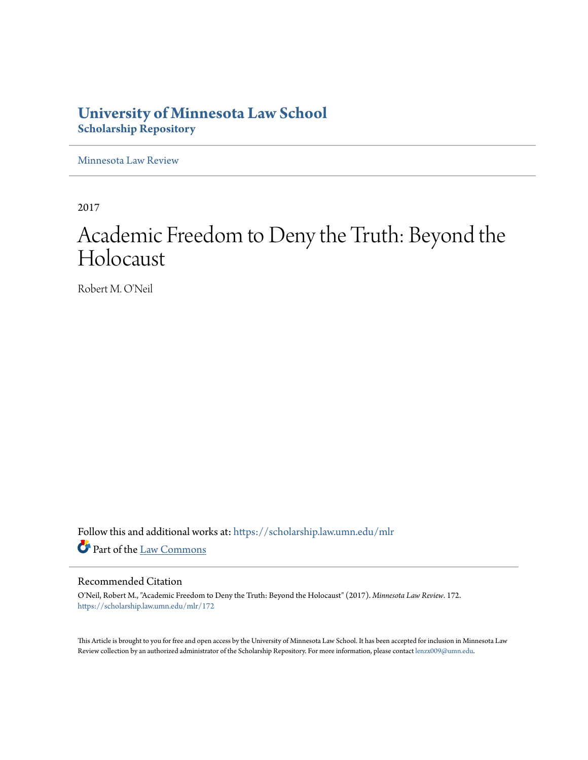## **University of Minnesota Law School [Scholarship Repository](https://scholarship.law.umn.edu?utm_source=scholarship.law.umn.edu%2Fmlr%2F172&utm_medium=PDF&utm_campaign=PDFCoverPages)**

[Minnesota Law Review](https://scholarship.law.umn.edu/mlr?utm_source=scholarship.law.umn.edu%2Fmlr%2F172&utm_medium=PDF&utm_campaign=PDFCoverPages)

2017

# Academic Freedom to Deny the Truth: Beyond the Holocaust

Robert M. O'Neil

Follow this and additional works at: [https://scholarship.law.umn.edu/mlr](https://scholarship.law.umn.edu/mlr?utm_source=scholarship.law.umn.edu%2Fmlr%2F172&utm_medium=PDF&utm_campaign=PDFCoverPages) Part of the [Law Commons](http://network.bepress.com/hgg/discipline/578?utm_source=scholarship.law.umn.edu%2Fmlr%2F172&utm_medium=PDF&utm_campaign=PDFCoverPages)

#### Recommended Citation

O'Neil, Robert M., "Academic Freedom to Deny the Truth: Beyond the Holocaust" (2017). *Minnesota Law Review*. 172. [https://scholarship.law.umn.edu/mlr/172](https://scholarship.law.umn.edu/mlr/172?utm_source=scholarship.law.umn.edu%2Fmlr%2F172&utm_medium=PDF&utm_campaign=PDFCoverPages)

This Article is brought to you for free and open access by the University of Minnesota Law School. It has been accepted for inclusion in Minnesota Law Review collection by an authorized administrator of the Scholarship Repository. For more information, please contact [lenzx009@umn.edu.](mailto:lenzx009@umn.edu)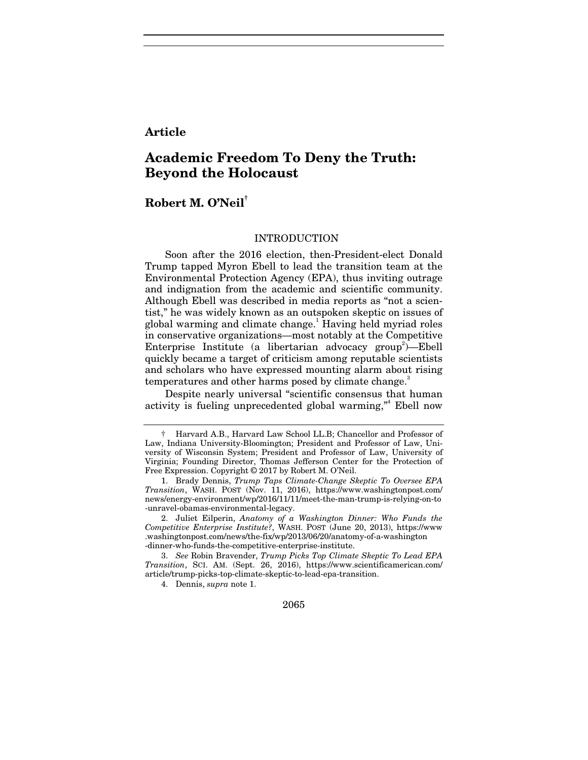### **Article**

## **Academic Freedom To Deny the Truth: Beyond the Holocaust**

## **Robert M. O'Neil†**

#### INTRODUCTION

Soon after the 2016 election, then-President-elect Donald Trump tapped Myron Ebell to lead the transition team at the Environmental Protection Agency (EPA), thus inviting outrage and indignation from the academic and scientific community. Although Ebell was described in media reports as "not a scientist," he was widely known as an outspoken skeptic on issues of global warming and climate change.<sup>1</sup> Having held myriad roles in conservative organizations—most notably at the Competitive Enterprise Institute (a libertarian advocacy group<sup>2</sup>)—Ebell quickly became a target of criticism among reputable scientists and scholars who have expressed mounting alarm about rising temperatures and other harms posed by climate change.

Despite nearly universal "scientific consensus that human activity is fueling unprecedented global warming,"<sup>4</sup> Ebell now

2065

<sup>†</sup> Harvard A.B., Harvard Law School LL.B; Chancellor and Professor of Law, Indiana University-Bloomington; President and Professor of Law, University of Wisconsin System; President and Professor of Law, University of Virginia; Founding Director, Thomas Jefferson Center for the Protection of Free Expression. Copyright © 2017 by Robert M. O'Neil.

 <sup>1.</sup> Brady Dennis, *Trump Taps Climate-Change Skeptic To Oversee EPA Transition*, WASH. POST (Nov. 11, 2016), https://www.washingtonpost.com/ news/energy-environment/wp/2016/11/11/meet-the-man-trump-is-relying-on-to -unravel-obamas-environmental-legacy.

 <sup>2.</sup> Juliet Eilperin, *Anatomy of a Washington Dinner: Who Funds the Competitive Enterprise Institute?*, WASH. POST (June 20, 2013), https://www .washingtonpost.com/news/the-fix/wp/2013/06/20/anatomy-of-a-washington -dinner-who-funds-the-competitive-enterprise-institute.

<sup>3.</sup> *See* Robin Bravender, *Trump Picks Top Climate Skeptic To Lead EPA Transition*, SCI. AM. (Sept. 26, 2016), https://www.scientificamerican.com/ article/trump-picks-top-climate-skeptic-to-lead-epa-transition.

<sup>4.</sup> Dennis, *supra* note 1.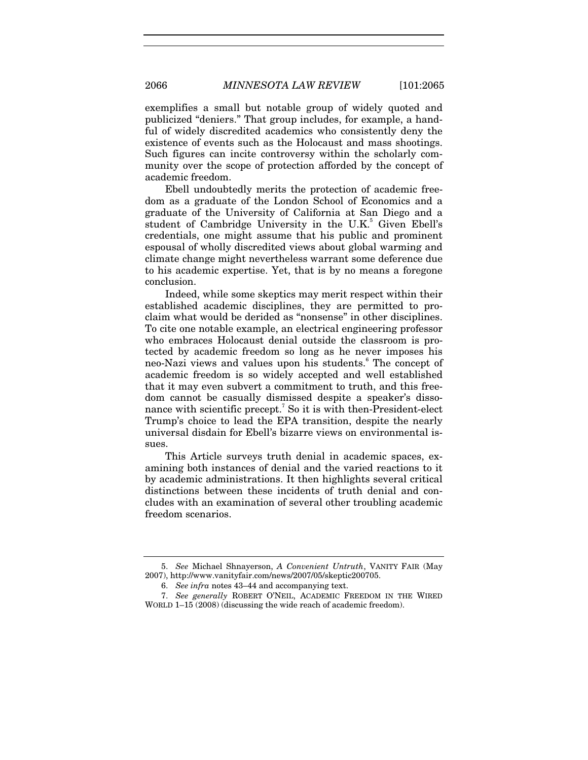exemplifies a small but notable group of widely quoted and publicized "deniers." That group includes, for example, a handful of widely discredited academics who consistently deny the existence of events such as the Holocaust and mass shootings. Such figures can incite controversy within the scholarly community over the scope of protection afforded by the concept of academic freedom.

Ebell undoubtedly merits the protection of academic freedom as a graduate of the London School of Economics and a graduate of the University of California at San Diego and a student of Cambridge University in the U.K.<sup>5</sup> Given Ebell's credentials, one might assume that his public and prominent espousal of wholly discredited views about global warming and climate change might nevertheless warrant some deference due to his academic expertise. Yet, that is by no means a foregone conclusion.

Indeed, while some skeptics may merit respect within their established academic disciplines, they are permitted to proclaim what would be derided as "nonsense" in other disciplines. To cite one notable example, an electrical engineering professor who embraces Holocaust denial outside the classroom is protected by academic freedom so long as he never imposes his neo-Nazi views and values upon his students.<sup>6</sup> The concept of academic freedom is so widely accepted and well established that it may even subvert a commitment to truth, and this freedom cannot be casually dismissed despite a speaker's dissonance with scientific precept.<sup>7</sup> So it is with then-President-elect Trump's choice to lead the EPA transition, despite the nearly universal disdain for Ebell's bizarre views on environmental issues.

This Article surveys truth denial in academic spaces, examining both instances of denial and the varied reactions to it by academic administrations. It then highlights several critical distinctions between these incidents of truth denial and concludes with an examination of several other troubling academic freedom scenarios.

 <sup>5.</sup> *See* Michael Shnayerson, *A Convenient Untruth*, VANITY FAIR (May 2007), http://www.vanityfair.com/news/2007/05/skeptic200705.

 <sup>6.</sup> *See infra* notes 43–44 and accompanying text.

<sup>7.</sup> *See generally* ROBERT O'NEIL, ACADEMIC FREEDOM IN THE WIRED WORLD 1–15 (2008) (discussing the wide reach of academic freedom).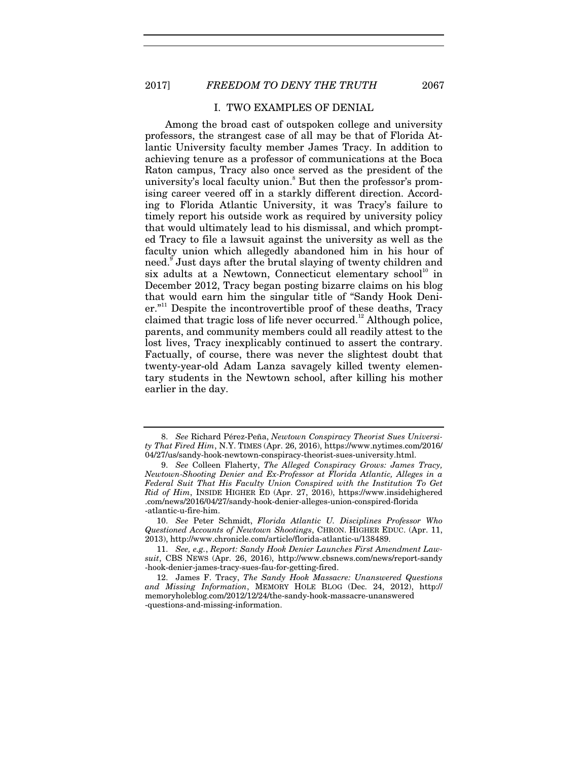#### I. TWO EXAMPLES OF DENIAL

Among the broad cast of outspoken college and university professors, the strangest case of all may be that of Florida Atlantic University faculty member James Tracy. In addition to achieving tenure as a professor of communications at the Boca Raton campus, Tracy also once served as the president of the university's local faculty union.<sup>8</sup> But then the professor's promising career veered off in a starkly different direction. According to Florida Atlantic University, it was Tracy's failure to timely report his outside work as required by university policy that would ultimately lead to his dismissal, and which prompted Tracy to file a lawsuit against the university as well as the faculty union which allegedly abandoned him in his hour of need.<sup>9</sup> Just days after the brutal slaying of twenty children and six adults at a Newtown, Connecticut elementary  $\rm school^{10}$  in December 2012, Tracy began posting bizarre claims on his blog that would earn him the singular title of "Sandy Hook Deni $er.$ <sup>"11</sup> Despite the incontrovertible proof of these deaths, Tracy claimed that tragic loss of life never occurred.<sup>12</sup> Although police, parents, and community members could all readily attest to the lost lives, Tracy inexplicably continued to assert the contrary. Factually, of course, there was never the slightest doubt that twenty-year-old Adam Lanza savagely killed twenty elementary students in the Newtown school, after killing his mother earlier in the day.

<sup>8.</sup> *See* Richard Pérez-Peña, *Newtown Conspiracy Theorist Sues University That Fired Him*, N.Y. TIMES (Apr. 26, 2016), https://www.nytimes.com/2016/ 04/27/us/sandy-hook-newtown-conspiracy-theorist-sues-university.html.

<sup>9.</sup> *See* Colleen Flaherty, *The Alleged Conspiracy Grows: James Tracy, Newtown-Shooting Denier and Ex-Professor at Florida Atlantic, Alleges in a Federal Suit That His Faculty Union Conspired with the Institution To Get Rid of Him*, INSIDE HIGHER ED (Apr. 27, 2016), https://www.insidehighered .com/news/2016/04/27/sandy-hook-denier-alleges-union-conspired-florida -atlantic-u-fire-him.

<sup>10.</sup> *See* Peter Schmidt, *Florida Atlantic U. Disciplines Professor Who Questioned Accounts of Newtown Shootings*, CHRON. HIGHER EDUC. (Apr. 11, 2013), http://www.chronicle.com/article/florida-atlantic-u/138489.

<sup>11.</sup> *See, e.g.*, *Report: Sandy Hook Denier Launches First Amendment Lawsuit*, CBS NEWS (Apr. 26, 2016), http://www.cbsnews.com/news/report-sandy -hook-denier-james-tracy-sues-fau-for-getting-fired.

 <sup>12.</sup> James F. Tracy, *The Sandy Hook Massacre: Unanswered Questions and Missing Information*, MEMORY HOLE BLOG (Dec. 24, 2012), http:// memoryholeblog.com/2012/12/24/the-sandy-hook-massacre-unanswered -questions-and-missing-information.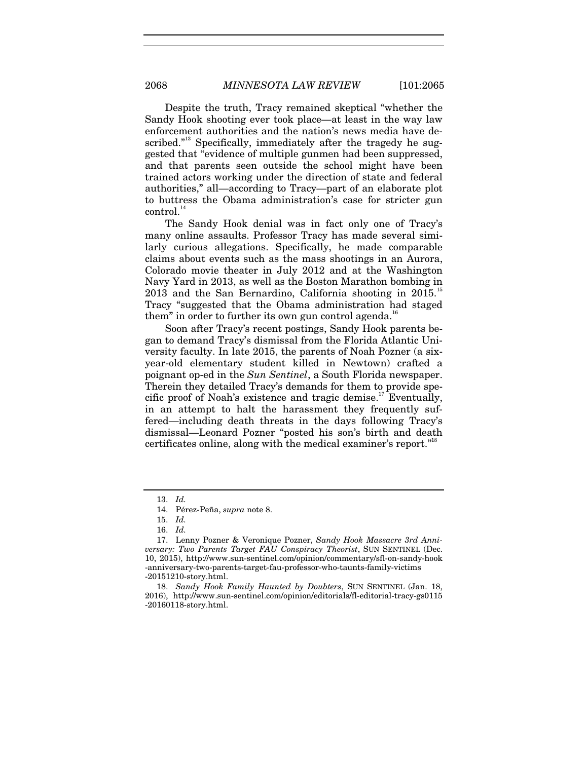Despite the truth, Tracy remained skeptical "whether the Sandy Hook shooting ever took place—at least in the way law enforcement authorities and the nation's news media have described."<sup>13</sup> Specifically, immediately after the tragedy he suggested that "evidence of multiple gunmen had been suppressed, and that parents seen outside the school might have been trained actors working under the direction of state and federal authorities," all—according to Tracy—part of an elaborate plot to buttress the Obama administration's case for stricter gun control.<sup>14</sup>

The Sandy Hook denial was in fact only one of Tracy's many online assaults. Professor Tracy has made several similarly curious allegations. Specifically, he made comparable claims about events such as the mass shootings in an Aurora, Colorado movie theater in July 2012 and at the Washington Navy Yard in 2013, as well as the Boston Marathon bombing in  $2013$  and the San Bernardino, California shooting in  $2015$ .<sup>15</sup> Tracy "suggested that the Obama administration had staged them" in order to further its own gun control agenda. $16$ 

Soon after Tracy's recent postings, Sandy Hook parents began to demand Tracy's dismissal from the Florida Atlantic University faculty. In late 2015, the parents of Noah Pozner (a sixyear-old elementary student killed in Newtown) crafted a poignant op-ed in the *Sun Sentinel*, a South Florida newspaper. Therein they detailed Tracy's demands for them to provide specific proof of Noah's existence and tragic demise.<sup>17</sup> Eventually, in an attempt to halt the harassment they frequently suffered—including death threats in the days following Tracy's dismissal—Leonard Pozner "posted his son's birth and death certificates online, along with the medical examiner's report."<sup>18</sup>

<sup>13.</sup> *Id.*

<sup>14.</sup> Pérez-Peña, *supra* note 8.

<sup>15.</sup> *Id.*

<sup>16.</sup> *Id.*

 <sup>17.</sup> Lenny Pozner & Veronique Pozner, *Sandy Hook Massacre 3rd Anniversary: Two Parents Target FAU Conspiracy Theorist*, SUN SENTINEL (Dec. 10, 2015), http://www.sun-sentinel.com/opinion/commentary/sfl-on-sandy-hook -anniversary-two-parents-target-fau-professor-who-taunts-family-victims -20151210-story.html.

 <sup>18.</sup> *Sandy Hook Family Haunted by Doubters*, SUN SENTINEL (Jan. 18, 2016), http://www.sun-sentinel.com/opinion/editorials/fl-editorial-tracy-gs0115 -20160118-story.html.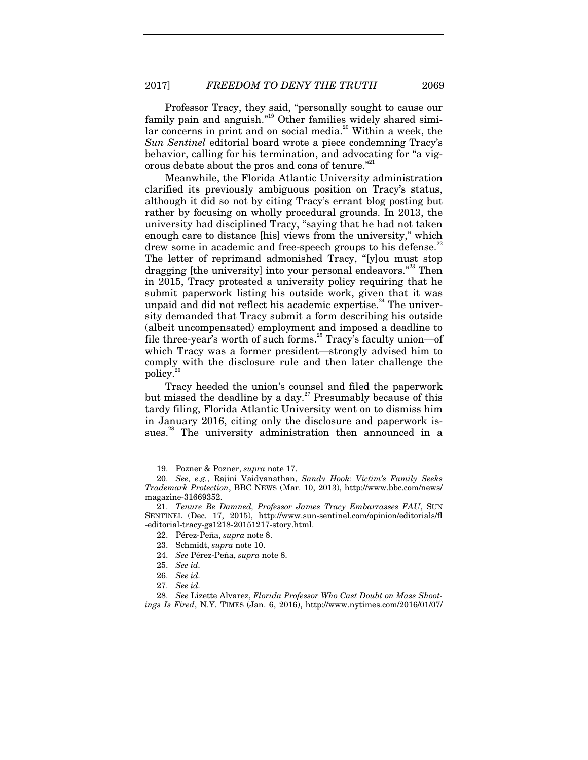Professor Tracy, they said, "personally sought to cause our family pain and anguish."<sup>19</sup> Other families widely shared similar concerns in print and on social media.<sup>20</sup> Within a week, the *Sun Sentinel* editorial board wrote a piece condemning Tracy's behavior, calling for his termination, and advocating for "a vigorous debate about the pros and cons of tenure."<sup>21</sup>

Meanwhile, the Florida Atlantic University administration clarified its previously ambiguous position on Tracy's status, although it did so not by citing Tracy's errant blog posting but rather by focusing on wholly procedural grounds. In 2013, the university had disciplined Tracy, "saying that he had not taken enough care to distance [his] views from the university," which drew some in academic and free-speech groups to his defense.<sup>22</sup> The letter of reprimand admonished Tracy, "[y]ou must stop dragging [the university] into your personal endeavors."<sup>23</sup> Then in 2015, Tracy protested a university policy requiring that he submit paperwork listing his outside work, given that it was unpaid and did not reflect his academic expertise.<sup>24</sup> The university demanded that Tracy submit a form describing his outside (albeit uncompensated) employment and imposed a deadline to file three-year's worth of such forms.<sup>25</sup> Tracy's faculty union-of which Tracy was a former president—strongly advised him to comply with the disclosure rule and then later challenge the policy.26

Tracy heeded the union's counsel and filed the paperwork but missed the deadline by a day.<sup>27</sup> Presumably because of this tardy filing, Florida Atlantic University went on to dismiss him in January 2016, citing only the disclosure and paperwork issues.<sup>28</sup> The university administration then announced in a

<sup>19.</sup> Pozner & Pozner, *supra* note 17.

<sup>20.</sup> *See, e.g.*, Rajini Vaidyanathan, *Sandy Hook: Victim's Family Seeks Trademark Protection*, BBC NEWS (Mar. 10, 2013), http://www.bbc.com/news/ magazine-31669352.

 <sup>21.</sup> *Tenure Be Damned, Professor James Tracy Embarrasses FAU*, SUN SENTINEL (Dec. 17, 2015), http://www.sun-sentinel.com/opinion/editorials/fl -editorial-tracy-gs1218-20151217-story.html.

<sup>22.</sup> Pérez-Peña, *supra* note 8.

<sup>23.</sup> Schmidt, *supra* note 10.

<sup>24.</sup> *See* Pérez-Peña, *supra* note 8.

<sup>25.</sup> *See id.* 

<sup>26.</sup> *See id.*

<sup>27.</sup> *See id.* 

<sup>28.</sup> *See* Lizette Alvarez, *Florida Professor Who Cast Doubt on Mass Shootings Is Fired*, N.Y. TIMES (Jan. 6, 2016), http://www.nytimes.com/2016/01/07/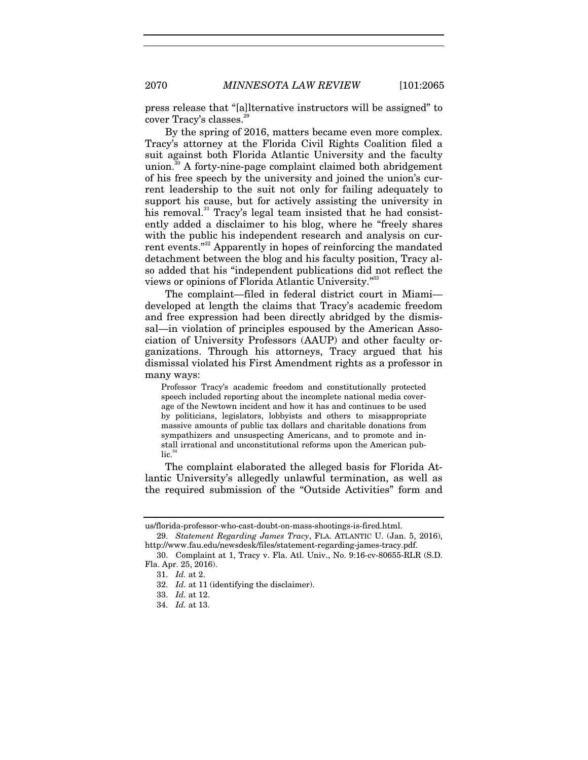press release that "[a]lternative instructors will be assigned" to cover Tracy's classes.

By the spring of 2016, matters became even more complex. Tracy's attorney at the Florida Civil Rights Coalition filed a suit against both Florida Atlantic University and the faculty union.<sup>30</sup> A forty-nine-page complaint claimed both abridgement of his free speech by the university and joined the union's current leadership to the suit not only for failing adequately to support his cause, but for actively assisting the university in his removal.<sup>31</sup> Tracy's legal team insisted that he had consistently added a disclaimer to his blog, where he "freely shares with the public his independent research and analysis on current events."<sup>32</sup> Apparently in hopes of reinforcing the mandated detachment between the blog and his faculty position, Tracy also added that his "independent publications did not reflect the views or opinions of Florida Atlantic University."33

The complaint—filed in federal district court in Miami developed at length the claims that Tracy's academic freedom and free expression had been directly abridged by the dismissal—in violation of principles espoused by the American Association of University Professors (AAUP) and other faculty organizations. Through his attorneys, Tracy argued that his dismissal violated his First Amendment rights as a professor in many ways:

Professor Tracy's academic freedom and constitutionally protected speech included reporting about the incomplete national media coverage of the Newtown incident and how it has and continues to be used by politicians, legislators, lobbyists and others to misappropriate massive amounts of public tax dollars and charitable donations from sympathizers and unsuspecting Americans, and to promote and install irrational and unconstitutional reforms upon the American pub $lic.<sup>34</sup>$ 

The complaint elaborated the alleged basis for Florida Atlantic University's allegedly unlawful termination, as well as the required submission of the "Outside Activities" form and

us/florida-professor-who-cast-doubt-on-mass-shootings-is-fired.html.

 <sup>29.</sup> *Statement Regarding James Tracy*, FLA. ATLANTIC U. (Jan. 5, 2016), http://www.fau.edu/newsdesk/files/statement-regarding-james-tracy.pdf.

 <sup>30.</sup> Complaint at 1, Tracy v. Fla. Atl. Univ., No. 9:16-cv-80655-RLR (S.D. Fla. Apr. 25, 2016).

<sup>31.</sup> *Id.* at 2.

<sup>32.</sup> *Id.* at 11 (identifying the disclaimer).

<sup>33.</sup> *Id.* at 12.

<sup>34.</sup> *Id.* at 13.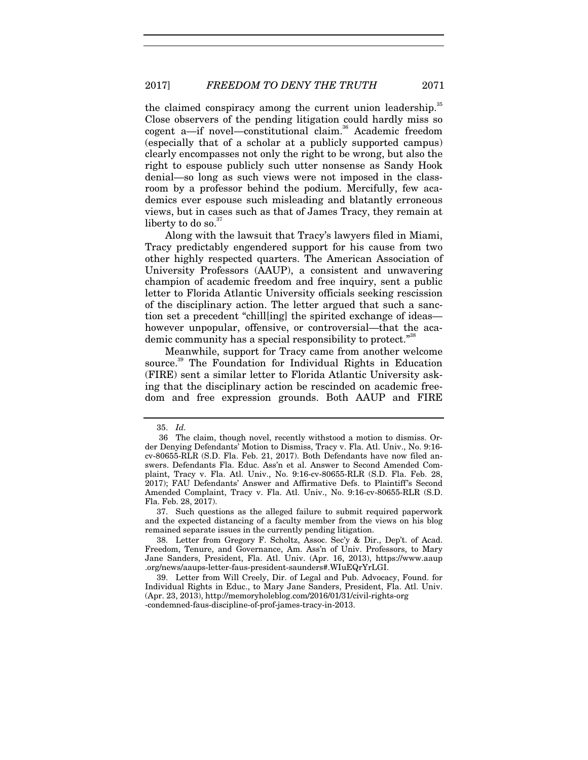the claimed conspiracy among the current union leadership.<sup>35</sup> Close observers of the pending litigation could hardly miss so cogent a-if novel-constitutional claim.<sup>36</sup> Academic freedom (especially that of a scholar at a publicly supported campus) clearly encompasses not only the right to be wrong, but also the right to espouse publicly such utter nonsense as Sandy Hook denial—so long as such views were not imposed in the classroom by a professor behind the podium. Mercifully, few academics ever espouse such misleading and blatantly erroneous views, but in cases such as that of James Tracy, they remain at liberty to do so. $37$ 

Along with the lawsuit that Tracy's lawyers filed in Miami, Tracy predictably engendered support for his cause from two other highly respected quarters. The American Association of University Professors (AAUP), a consistent and unwavering champion of academic freedom and free inquiry, sent a public letter to Florida Atlantic University officials seeking rescission of the disciplinary action. The letter argued that such a sanction set a precedent "chill[ing] the spirited exchange of ideas however unpopular, offensive, or controversial—that the academic community has a special responsibility to protect."<sup>38</sup>

Meanwhile, support for Tracy came from another welcome source.<sup>39</sup> The Foundation for Individual Rights in Education (FIRE) sent a similar letter to Florida Atlantic University asking that the disciplinary action be rescinded on academic freedom and free expression grounds. Both AAUP and FIRE

 <sup>35.</sup> *Id.*

 <sup>36</sup> The claim, though novel, recently withstood a motion to dismiss. Order Denying Defendants' Motion to Dismiss, Tracy v. Fla. Atl. Univ., No. 9:16 cv-80655-RLR (S.D. Fla. Feb. 21, 2017). Both Defendants have now filed answers. Defendants Fla. Educ. Ass'n et al. Answer to Second Amended Complaint, Tracy v. Fla. Atl. Univ., No. 9:16-cv-80655-RLR (S.D. Fla. Feb. 28, 2017); FAU Defendants' Answer and Affirmative Defs. to Plaintiff's Second Amended Complaint, Tracy v. Fla. Atl. Univ., No. 9:16-cv-80655-RLR (S.D. Fla. Feb. 28, 2017).

 <sup>37.</sup> Such questions as the alleged failure to submit required paperwork and the expected distancing of a faculty member from the views on his blog remained separate issues in the currently pending litigation.

 <sup>38.</sup> Letter from Gregory F. Scholtz, Assoc. Sec'y & Dir., Dep't. of Acad. Freedom, Tenure, and Governance, Am. Ass'n of Univ. Professors, to Mary Jane Sanders, President, Fla. Atl. Univ. (Apr. 16, 2013), https://www.aaup .org/news/aaups-letter-faus-president-saunders#.WIuEQrYrLGI.

 <sup>39.</sup> Letter from Will Creely, Dir. of Legal and Pub. Advocacy, Found. for Individual Rights in Educ., to Mary Jane Sanders, President, Fla. Atl. Univ. (Apr. 23, 2013), http://memoryholeblog.com/2016/01/31/civil-rights-org -condemned-faus-discipline-of-prof-james-tracy-in-2013.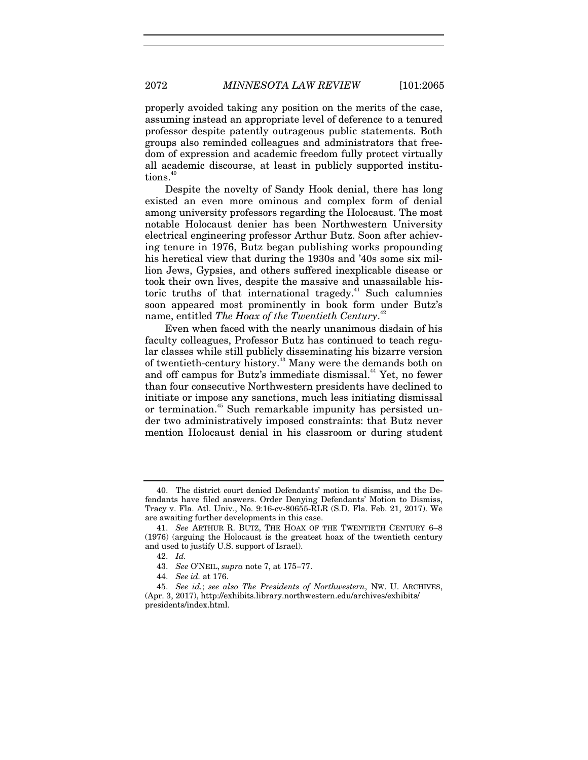properly avoided taking any position on the merits of the case, assuming instead an appropriate level of deference to a tenured professor despite patently outrageous public statements. Both groups also reminded colleagues and administrators that freedom of expression and academic freedom fully protect virtually all academic discourse, at least in publicly supported institutions.<sup>40</sup>

Despite the novelty of Sandy Hook denial, there has long existed an even more ominous and complex form of denial among university professors regarding the Holocaust. The most notable Holocaust denier has been Northwestern University electrical engineering professor Arthur Butz. Soon after achieving tenure in 1976, Butz began publishing works propounding his heretical view that during the 1930s and '40s some six million Jews, Gypsies, and others suffered inexplicable disease or took their own lives, despite the massive and unassailable historic truths of that international tragedy.<sup>41</sup> Such calumnies soon appeared most prominently in book form under Butz's name, entitled *The Hoax of the Twentieth Century*. 42

Even when faced with the nearly unanimous disdain of his faculty colleagues, Professor Butz has continued to teach regular classes while still publicly disseminating his bizarre version of twentieth-century history.43 Many were the demands both on and off campus for Butz's immediate dismissal.<sup>44</sup> Yet, no fewer than four consecutive Northwestern presidents have declined to initiate or impose any sanctions, much less initiating dismissal or termination.<sup>45</sup> Such remarkable impunity has persisted under two administratively imposed constraints: that Butz never mention Holocaust denial in his classroom or during student

 <sup>40.</sup> The district court denied Defendants' motion to dismiss, and the Defendants have filed answers. Order Denying Defendants' Motion to Dismiss, Tracy v. Fla. Atl. Univ., No. 9:16-cv-80655-RLR (S.D. Fla. Feb. 21, 2017). We are awaiting further developments in this case.

<sup>41.</sup> *See* ARTHUR R. BUTZ, THE HOAX OF THE TWENTIETH CENTURY 6–8 (1976) (arguing the Holocaust is the greatest hoax of the twentieth century and used to justify U.S. support of Israel).

<sup>42.</sup> *Id.*

 <sup>43.</sup> *See* O'NEIL, *supra* note 7, at 175–77.

<sup>44.</sup> *See id.* at 176.

<sup>45.</sup> *See id.*; *see also The Presidents of Northwestern*, NW. U. ARCHIVES, (Apr. 3, 2017), http://exhibits.library.northwestern.edu/archives/exhibits/ presidents/index.html.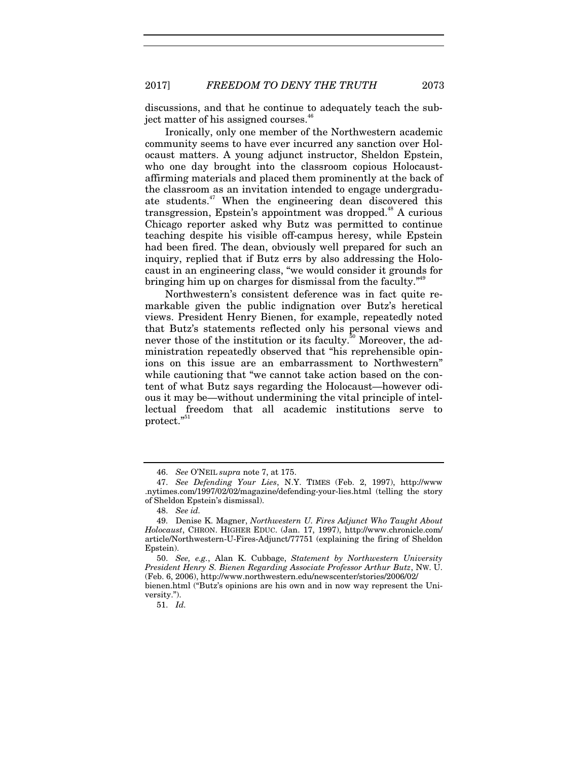discussions, and that he continue to adequately teach the subject matter of his assigned courses.<sup>4</sup>

Ironically, only one member of the Northwestern academic community seems to have ever incurred any sanction over Holocaust matters. A young adjunct instructor, Sheldon Epstein, who one day brought into the classroom copious Holocaustaffirming materials and placed them prominently at the back of the classroom as an invitation intended to engage undergraduate students.<sup>47</sup> When the engineering dean discovered this transgression, Epstein's appointment was dropped.<sup>48</sup> A curious Chicago reporter asked why Butz was permitted to continue teaching despite his visible off-campus heresy, while Epstein had been fired. The dean, obviously well prepared for such an inquiry, replied that if Butz errs by also addressing the Holocaust in an engineering class, "we would consider it grounds for bringing him up on charges for dismissal from the faculty."<sup>49</sup>

Northwestern's consistent deference was in fact quite remarkable given the public indignation over Butz's heretical views. President Henry Bienen, for example, repeatedly noted that Butz's statements reflected only his personal views and never those of the institution or its faculty.<sup>50</sup> Moreover, the administration repeatedly observed that "his reprehensible opinions on this issue are an embarrassment to Northwestern" while cautioning that "we cannot take action based on the content of what Butz says regarding the Holocaust—however odious it may be—without undermining the vital principle of intellectual freedom that all academic institutions serve to protect."<sup>51</sup>

51. *Id.*

 <sup>46.</sup> *See* O'NEIL *supra* note 7, at 175.

<sup>47.</sup> *See Defending Your Lies*, N.Y. TIMES (Feb. 2, 1997), http://www .nytimes.com/1997/02/02/magazine/defending-your-lies.html (telling the story of Sheldon Epstein's dismissal).

<sup>48.</sup> *See id.*

 <sup>49.</sup> Denise K. Magner, *Northwestern U. Fires Adjunct Who Taught About Holocaust*, CHRON. HIGHER EDUC. (Jan. 17, 1997), http://www.chronicle.com/ article/Northwestern-U-Fires-Adjunct/77751 (explaining the firing of Sheldon Epstein).

<sup>50.</sup> *See, e.g.*, Alan K. Cubbage, *Statement by Northwestern University President Henry S. Bienen Regarding Associate Professor Arthur Butz*, NW. U. (Feb. 6, 2006), http://www.northwestern.edu/newscenter/stories/2006/02/ bienen.html ("Butz's opinions are his own and in now way represent the University.").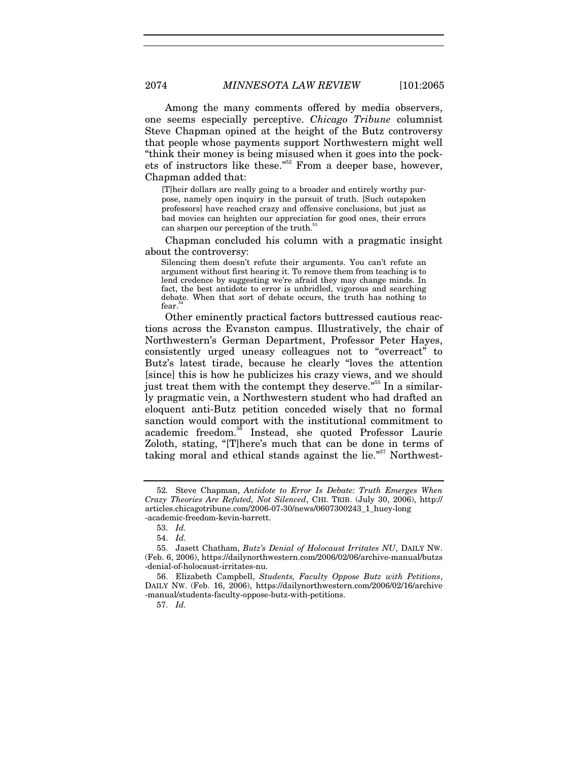Among the many comments offered by media observers, one seems especially perceptive. *Chicago Tribune* columnist Steve Chapman opined at the height of the Butz controversy that people whose payments support Northwestern might well "think their money is being misused when it goes into the pockets of instructors like these."<sup>52</sup> From a deeper base, however, Chapman added that:

[T]heir dollars are really going to a broader and entirely worthy purpose, namely open inquiry in the pursuit of truth. [Such outspoken professors] have reached crazy and offensive conclusions, but just as bad movies can heighten our appreciation for good ones, their errors can sharpen our perception of the truth.<sup>57</sup>

Chapman concluded his column with a pragmatic insight about the controversy:

Silencing them doesn't refute their arguments. You can't refute an argument without first hearing it. To remove them from teaching is to lend credence by suggesting we're afraid they may change minds. In fact, the best antidote to error is unbridled, vigorous and searching debate. When that sort of debate occurs, the truth has nothing to fear.

Other eminently practical factors buttressed cautious reactions across the Evanston campus. Illustratively, the chair of Northwestern's German Department, Professor Peter Hayes, consistently urged uneasy colleagues not to "overreact" to Butz's latest tirade, because he clearly "loves the attention [since] this is how he publicizes his crazy views, and we should just treat them with the contempt they deserve."<sup>55</sup> In a similarly pragmatic vein, a Northwestern student who had drafted an eloquent anti-Butz petition conceded wisely that no formal sanction would comport with the institutional commitment to academic freedom.56 Instead, she quoted Professor Laurie Zoloth, stating, "[T]here's much that can be done in terms of taking moral and ethical stands against the lie."<sup>57</sup> Northwest-

 <sup>52.</sup> Steve Chapman, *Antidote to Error Is Debate: Truth Emerges When Crazy Theories Are Refuted, Not Silenced*, CHI. TRIB. (July 30, 2006), http:// articles.chicagotribune.com/2006-07-30/news/0607300243\_1\_huey-long -academic-freedom-kevin-barrett.

<sup>53.</sup> *Id.*

<sup>54.</sup> *Id.*

 <sup>55.</sup> Jasett Chatham, *Butz's Denial of Holocaust Irritates NU*, DAILY NW. (Feb. 6, 2006), https://dailynorthwestern.com/2006/02/06/archive-manual/butzs -denial-of-holocaust-irritates-nu.

 <sup>56.</sup> Elizabeth Campbell, *Students, Faculty Oppose Butz with Petitions*, DAILY NW. (Feb. 16, 2006), https://dailynorthwestern.com/2006/02/16/archive -manual/students-faculty-oppose-butz-with-petitions.

<sup>57.</sup> *Id.*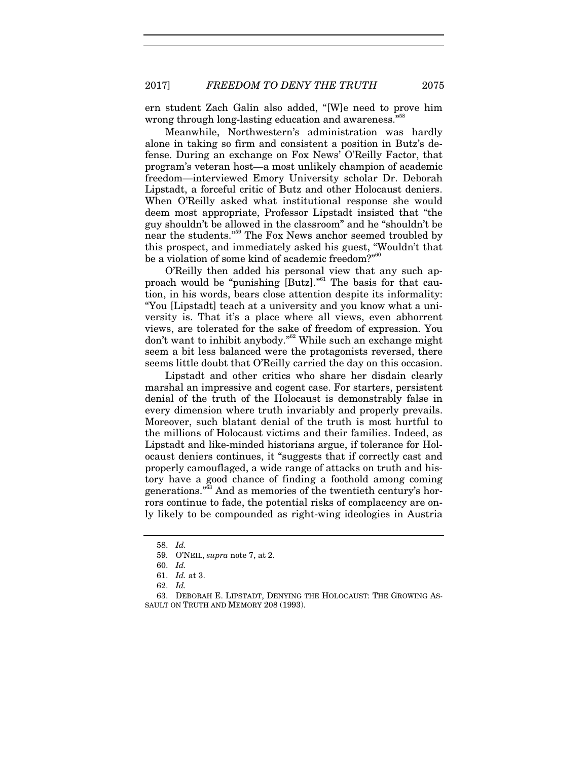ern student Zach Galin also added, "[W]e need to prove him wrong through long-lasting education and awareness."

Meanwhile, Northwestern's administration was hardly alone in taking so firm and consistent a position in Butz's defense. During an exchange on Fox News' O'Reilly Factor, that program's veteran host—a most unlikely champion of academic freedom—interviewed Emory University scholar Dr. Deborah Lipstadt, a forceful critic of Butz and other Holocaust deniers. When O'Reilly asked what institutional response she would deem most appropriate, Professor Lipstadt insisted that "the guy shouldn't be allowed in the classroom" and he "shouldn't be near the students."59 The Fox News anchor seemed troubled by this prospect, and immediately asked his guest, "Wouldn't that be a violation of some kind of academic freedom?"<sup>60</sup>

O'Reilly then added his personal view that any such approach would be "punishing [Butz]."61 The basis for that caution, in his words, bears close attention despite its informality: "You [Lipstadt] teach at a university and you know what a university is. That it's a place where all views, even abhorrent views, are tolerated for the sake of freedom of expression. You  $\frac{d}{dx}$  don't want to inhibit anybody."<sup>62</sup> While such an exchange might seem a bit less balanced were the protagonists reversed, there seems little doubt that O'Reilly carried the day on this occasion.

Lipstadt and other critics who share her disdain clearly marshal an impressive and cogent case. For starters, persistent denial of the truth of the Holocaust is demonstrably false in every dimension where truth invariably and properly prevails. Moreover, such blatant denial of the truth is most hurtful to the millions of Holocaust victims and their families. Indeed, as Lipstadt and like-minded historians argue, if tolerance for Holocaust deniers continues, it "suggests that if correctly cast and properly camouflaged, a wide range of attacks on truth and history have a good chance of finding a foothold among coming generations."63 And as memories of the twentieth century's horrors continue to fade, the potential risks of complacency are only likely to be compounded as right-wing ideologies in Austria

<sup>58.</sup> *Id.*

 <sup>59.</sup> O'NEIL, *supra* note 7, at 2.

<sup>60.</sup> *Id.*

<sup>61.</sup> *Id.* at 3.

<sup>62.</sup> *Id.*

 <sup>63.</sup> DEBORAH E. LIPSTADT, DENYING THE HOLOCAUST: THE GROWING AS-SAULT ON TRUTH AND MEMORY 208 (1993).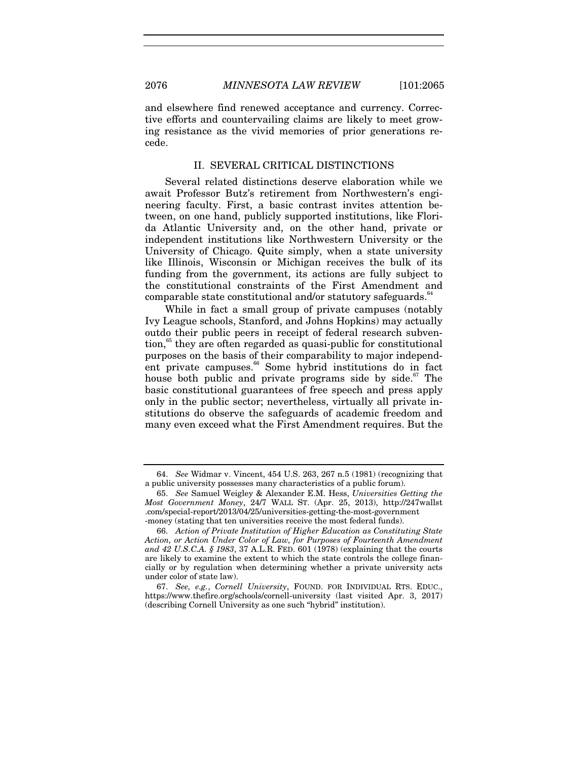and elsewhere find renewed acceptance and currency. Corrective efforts and countervailing claims are likely to meet growing resistance as the vivid memories of prior generations recede.

#### II. SEVERAL CRITICAL DISTINCTIONS

Several related distinctions deserve elaboration while we await Professor Butz's retirement from Northwestern's engineering faculty. First, a basic contrast invites attention between, on one hand, publicly supported institutions, like Florida Atlantic University and, on the other hand, private or independent institutions like Northwestern University or the University of Chicago. Quite simply, when a state university like Illinois, Wisconsin or Michigan receives the bulk of its funding from the government, its actions are fully subject to the constitutional constraints of the First Amendment and comparable state constitutional and/or statutory safeguards.<sup>64</sup>

While in fact a small group of private campuses (notably Ivy League schools, Stanford, and Johns Hopkins) may actually outdo their public peers in receipt of federal research subven- $\frac{5}{5}$  they are often regarded as quasi-public for constitutional purposes on the basis of their comparability to major independent private campuses.<sup>66</sup> Some hybrid institutions do in fact house both public and private programs side by side.<sup>67</sup> The basic constitutional guarantees of free speech and press apply only in the public sector; nevertheless, virtually all private institutions do observe the safeguards of academic freedom and many even exceed what the First Amendment requires. But the

<sup>64.</sup> *See* Widmar v. Vincent, 454 U.S. 263, 267 n.5 (1981) (recognizing that a public university possesses many characteristics of a public forum).

<sup>65.</sup> *See* Samuel Weigley & Alexander E.M. Hess, *Universities Getting the Most Government Money*, 24/7 WALL ST. (Apr. 25, 2013), http://247wallst .com/special-report/2013/04/25/universities-getting-the-most-government -money (stating that ten universities receive the most federal funds).

 <sup>66.</sup> *Action of Private Institution of Higher Education as Constituting State Action, or Action Under Color of Law, for Purposes of Fourteenth Amendment and 42 U.S.C.A. § 1983*, 37 A.L.R. FED. 601 (1978) (explaining that the courts are likely to examine the extent to which the state controls the college financially or by regulation when determining whether a private university acts under color of state law).

<sup>67.</sup> *See, e.g.*, *Cornell University*, FOUND. FOR INDIVIDUAL RTS. EDUC., https://www.thefire.org/schools/cornell-university (last visited Apr. 3, 2017) (describing Cornell University as one such "hybrid" institution).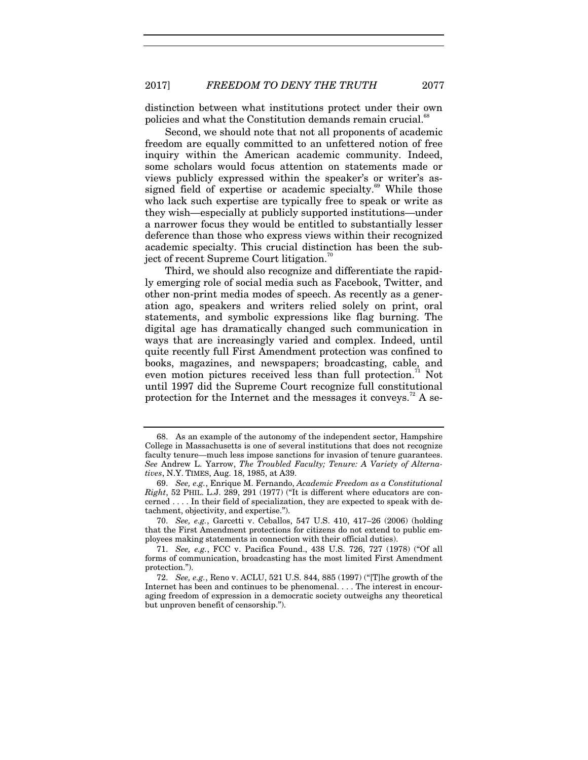distinction between what institutions protect under their own policies and what the Constitution demands remain crucial.<sup>6</sup>

Second, we should note that not all proponents of academic freedom are equally committed to an unfettered notion of free inquiry within the American academic community. Indeed, some scholars would focus attention on statements made or views publicly expressed within the speaker's or writer's assigned field of expertise or academic specialty.<sup>69</sup> While those who lack such expertise are typically free to speak or write as they wish—especially at publicly supported institutions—under a narrower focus they would be entitled to substantially lesser deference than those who express views within their recognized academic specialty. This crucial distinction has been the subject of recent Supreme Court litigation.<sup>70</sup>

Third, we should also recognize and differentiate the rapidly emerging role of social media such as Facebook, Twitter, and other non-print media modes of speech. As recently as a generation ago, speakers and writers relied solely on print, oral statements, and symbolic expressions like flag burning. The digital age has dramatically changed such communication in ways that are increasingly varied and complex. Indeed, until quite recently full First Amendment protection was confined to books, magazines, and newspapers; broadcasting, cable, and even motion pictures received less than full protection.<sup> $71$ </sup> Not until 1997 did the Supreme Court recognize full constitutional protection for the Internet and the messages it conveys.<sup>72</sup> A se-

 <sup>68.</sup> As an example of the autonomy of the independent sector, Hampshire College in Massachusetts is one of several institutions that does not recognize faculty tenure—much less impose sanctions for invasion of tenure guarantees. *See* Andrew L. Yarrow, *The Troubled Faculty; Tenure: A Variety of Alternatives*, N.Y. TIMES, Aug. 18, 1985, at A39.

<sup>69.</sup> *See, e.g.*, Enrique M. Fernando, *Academic Freedom as a Constitutional Right*, 52 PHIL. L.J. 289, 291 (1977) ("It is different where educators are concerned . . . . In their field of specialization, they are expected to speak with detachment, objectivity, and expertise.").

<sup>70.</sup> *See, e.g.*, Garcetti v. Ceballos, 547 U.S. 410, 417–26 (2006) (holding that the First Amendment protections for citizens do not extend to public employees making statements in connection with their official duties).

<sup>71.</sup> *See, e.g.*, FCC v. Pacifica Found., 438 U.S. 726, 727 (1978) ("Of all forms of communication, broadcasting has the most limited First Amendment protection.").

 <sup>72.</sup> *See, e.g.*, Reno v. ACLU, 521 U.S. 844, 885 (1997) ("[T]he growth of the Internet has been and continues to be phenomenal. . . . The interest in encouraging freedom of expression in a democratic society outweighs any theoretical but unproven benefit of censorship.").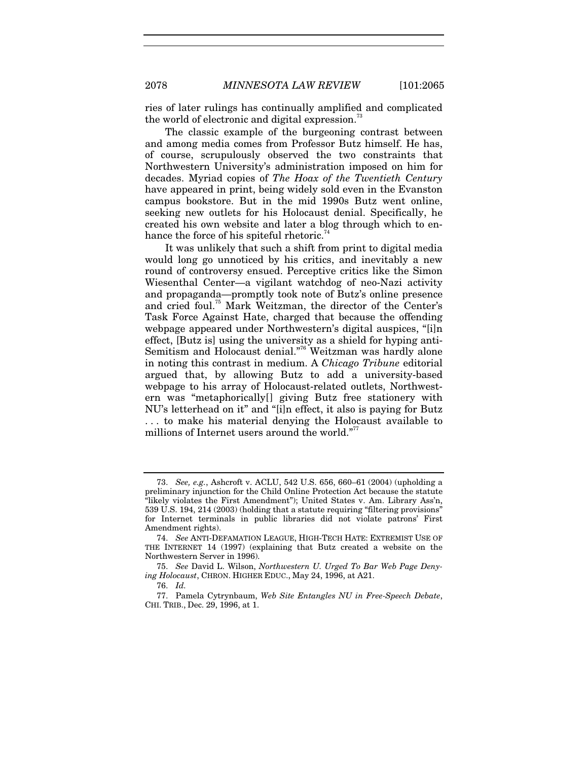ries of later rulings has continually amplified and complicated the world of electronic and digital expression.

The classic example of the burgeoning contrast between and among media comes from Professor Butz himself. He has, of course, scrupulously observed the two constraints that Northwestern University's administration imposed on him for decades. Myriad copies of *The Hoax of the Twentieth Century* have appeared in print, being widely sold even in the Evanston campus bookstore. But in the mid 1990s Butz went online, seeking new outlets for his Holocaust denial. Specifically, he created his own website and later a blog through which to enhance the force of his spiteful rhetoric.<sup>74</sup>

It was unlikely that such a shift from print to digital media would long go unnoticed by his critics, and inevitably a new round of controversy ensued. Perceptive critics like the Simon Wiesenthal Center—a vigilant watchdog of neo-Nazi activity and propaganda—promptly took note of Butz's online presence and cried foul.<sup>75</sup> Mark Weitzman, the director of the Center's Task Force Against Hate, charged that because the offending webpage appeared under Northwestern's digital auspices, "[i]n effect, [Butz is] using the university as a shield for hyping anti-Semitism and Holocaust denial."<sup>76</sup> Weitzman was hardly alone in noting this contrast in medium. A *Chicago Tribune* editorial argued that, by allowing Butz to add a university-based webpage to his array of Holocaust-related outlets, Northwestern was "metaphorically[] giving Butz free stationery with NU's letterhead on it" and "[i]n effect, it also is paying for Butz . . . to make his material denying the Holocaust available to millions of Internet users around the world."<sup>77</sup>

<sup>73.</sup> *See, e.g.*, Ashcroft v. ACLU, 542 U.S. 656, 660–61 (2004) (upholding a preliminary injunction for the Child Online Protection Act because the statute "likely violates the First Amendment"); United States v. Am. Library Ass'n, 539 U.S. 194, 214 (2003) (holding that a statute requiring "filtering provisions" for Internet terminals in public libraries did not violate patrons' First Amendment rights).

<sup>74.</sup> *See* ANTI-DEFAMATION LEAGUE, HIGH-TECH HATE: EXTREMIST USE OF THE INTERNET 14 (1997) (explaining that Butz created a website on the Northwestern Server in 1996).

<sup>75.</sup> *See* David L. Wilson, *Northwestern U. Urged To Bar Web Page Denying Holocaust*, CHRON. HIGHER EDUC., May 24, 1996, at A21.

<sup>76.</sup> *Id.*

 <sup>77.</sup> Pamela Cytrynbaum, *Web Site Entangles NU in Free-Speech Debate*, CHI. TRIB., Dec. 29, 1996, at 1.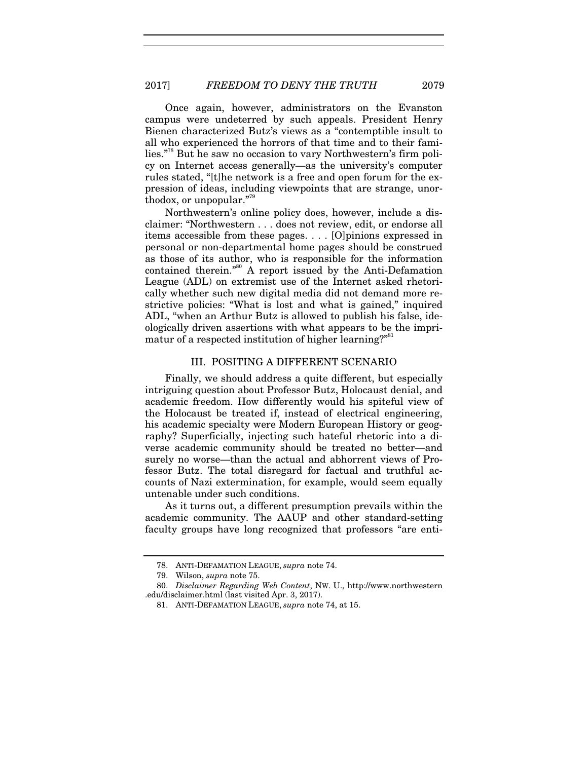Once again, however, administrators on the Evanston campus were undeterred by such appeals. President Henry Bienen characterized Butz's views as a "contemptible insult to all who experienced the horrors of that time and to their families."<sup>88</sup> But he saw no occasion to vary Northwestern's firm policy on Internet access generally—as the university's computer rules stated, "[t]he network is a free and open forum for the expression of ideas, including viewpoints that are strange, unorthodox, or unpopular."<sup>79</sup>

Northwestern's online policy does, however, include a disclaimer: "Northwestern . . . does not review, edit, or endorse all items accessible from these pages. . . . [O]pinions expressed in personal or non-departmental home pages should be construed as those of its author, who is responsible for the information contained therein."80 A report issued by the Anti-Defamation League (ADL) on extremist use of the Internet asked rhetorically whether such new digital media did not demand more restrictive policies: "What is lost and what is gained," inquired ADL, "when an Arthur Butz is allowed to publish his false, ideologically driven assertions with what appears to be the imprimatur of a respected institution of higher learning?"<sup>81</sup>

#### III. POSITING A DIFFERENT SCENARIO

Finally, we should address a quite different, but especially intriguing question about Professor Butz, Holocaust denial, and academic freedom. How differently would his spiteful view of the Holocaust be treated if, instead of electrical engineering, his academic specialty were Modern European History or geography? Superficially, injecting such hateful rhetoric into a diverse academic community should be treated no better—and surely no worse—than the actual and abhorrent views of Professor Butz. The total disregard for factual and truthful accounts of Nazi extermination, for example, would seem equally untenable under such conditions.

As it turns out, a different presumption prevails within the academic community. The AAUP and other standard-setting faculty groups have long recognized that professors "are enti-

 <sup>78.</sup> ANTI-DEFAMATION LEAGUE, *supra* note 74.

 <sup>79.</sup> Wilson, *supra* note 75.

<sup>80.</sup> *Disclaimer Regarding Web Content*, NW. U., http://www.northwestern .edu/disclaimer.html (last visited Apr. 3, 2017).

 <sup>81.</sup> ANTI-DEFAMATION LEAGUE, *supra* note 74, at 15.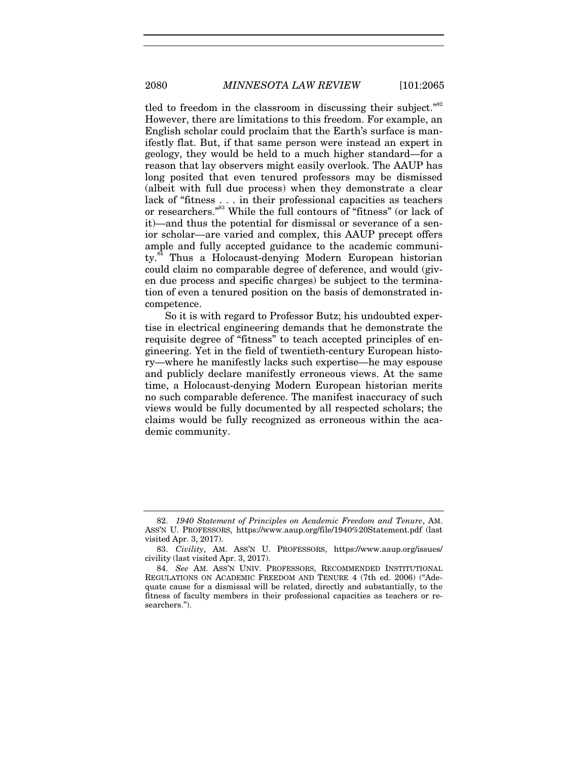tled to freedom in the classroom in discussing their subject."<sup>82</sup> However, there are limitations to this freedom. For example, an English scholar could proclaim that the Earth's surface is manifestly flat. But, if that same person were instead an expert in geology, they would be held to a much higher standard—for a reason that lay observers might easily overlook. The AAUP has long posited that even tenured professors may be dismissed (albeit with full due process) when they demonstrate a clear lack of "fitness . . . in their professional capacities as teachers or researchers."83 While the full contours of "fitness" (or lack of it)—and thus the potential for dismissal or severance of a senior scholar—are varied and complex, this AAUP precept offers ample and fully accepted guidance to the academic community.<sup>84</sup> Thus a Holocaust-denying Modern European historian could claim no comparable degree of deference, and would (given due process and specific charges) be subject to the termination of even a tenured position on the basis of demonstrated incompetence.

So it is with regard to Professor Butz; his undoubted expertise in electrical engineering demands that he demonstrate the requisite degree of "fitness" to teach accepted principles of engineering. Yet in the field of twentieth-century European history—where he manifestly lacks such expertise—he may espouse and publicly declare manifestly erroneous views. At the same time, a Holocaust-denying Modern European historian merits no such comparable deference. The manifest inaccuracy of such views would be fully documented by all respected scholars; the claims would be fully recognized as erroneous within the academic community.

<sup>82.</sup> *1940 Statement of Principles on Academic Freedom and Tenure*, AM. ASS'N U. PROFESSORS, https://www.aaup.org/file/1940%20Statement.pdf (last visited Apr. 3, 2017).

<sup>83.</sup> *Civility*, AM. ASS'N U. PROFESSORS, https://www.aaup.org/issues/ civility (last visited Apr. 3, 2017).

<sup>84.</sup> *See* AM. ASS'N UNIV. PROFESSORS, RECOMMENDED INSTITUTIONAL REGULATIONS ON ACADEMIC FREEDOM AND TENURE 4 (7th ed. 2006) ("Adequate cause for a dismissal will be related, directly and substantially, to the fitness of faculty members in their professional capacities as teachers or researchers.").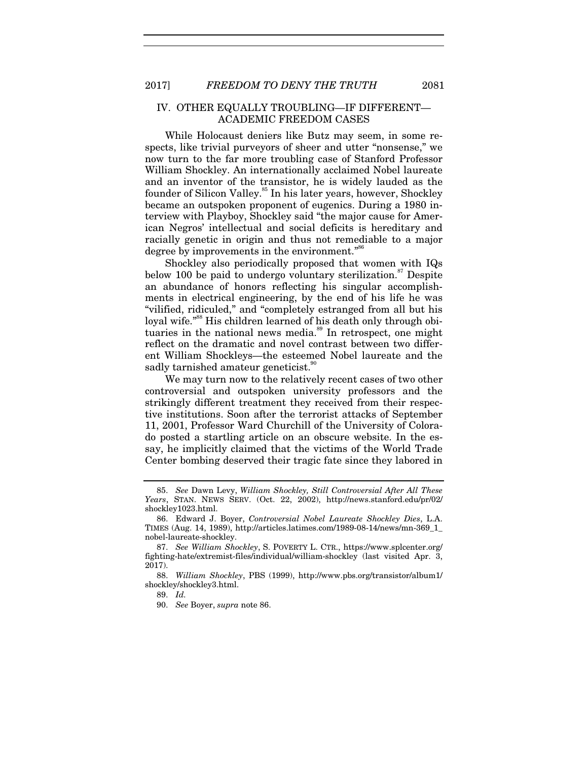#### IV. OTHER EQUALLY TROUBLING—IF DIFFERENT— ACADEMIC FREEDOM CASES

While Holocaust deniers like Butz may seem, in some respects, like trivial purveyors of sheer and utter "nonsense," we now turn to the far more troubling case of Stanford Professor William Shockley. An internationally acclaimed Nobel laureate and an inventor of the transistor, he is widely lauded as the founder of Silicon Valley.<sup>85</sup> In his later years, however, Shockley became an outspoken proponent of eugenics. During a 1980 interview with Playboy, Shockley said "the major cause for American Negros' intellectual and social deficits is hereditary and racially genetic in origin and thus not remediable to a major degree by improvements in the environment."<sup>86</sup>

Shockley also periodically proposed that women with IQs below 100 be paid to undergo voluntary sterilization.<sup>87</sup> Despite an abundance of honors reflecting his singular accomplishments in electrical engineering, by the end of his life he was "vilified, ridiculed," and "completely estranged from all but his loyal wife."<sup>88</sup> His children learned of his death only through obituaries in the national news media.<sup>89</sup> In retrospect, one might reflect on the dramatic and novel contrast between two different William Shockleys—the esteemed Nobel laureate and the sadly tarnished amateur geneticist.<sup>30</sup>

We may turn now to the relatively recent cases of two other controversial and outspoken university professors and the strikingly different treatment they received from their respective institutions. Soon after the terrorist attacks of September 11, 2001, Professor Ward Churchill of the University of Colorado posted a startling article on an obscure website. In the essay, he implicitly claimed that the victims of the World Trade Center bombing deserved their tragic fate since they labored in

90. *See* Boyer, *supra* note 86.

<sup>85.</sup> *See* Dawn Levy, *William Shockley, Still Controversial After All These Years*, STAN. NEWS SERV. (Oct. 22, 2002), http://news.stanford.edu/pr/02/ shockley1023.html.

 <sup>86.</sup> Edward J. Boyer, *Controversial Nobel Laureate Shockley Dies*, L.A. TIMES (Aug. 14, 1989), http://articles.latimes.com/1989-08-14/news/mn-369\_1\_ nobel-laureate-shockley.

<sup>87.</sup> *See William Shockley*, S. POVERTY L. CTR., https://www.splcenter.org/ fighting-hate/extremist-files/individual/william-shockley (last visited Apr. 3, 2017).

<sup>88.</sup> *William Shockley*, PBS (1999), http://www.pbs.org/transistor/album1/ shockley/shockley3.html.

<sup>89.</sup> *Id.*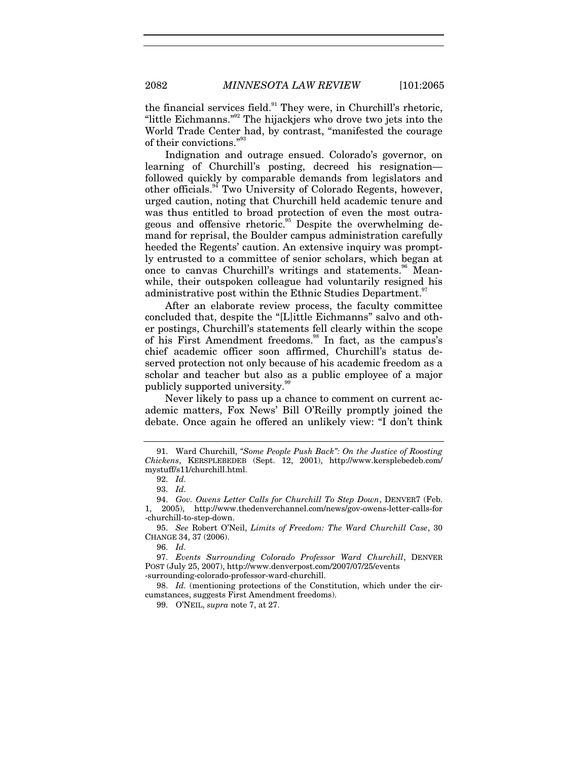the financial services field. $91$  They were, in Churchill's rhetoric, "little Eichmanns."<sup>92</sup> The hijackjers who drove two jets into the World Trade Center had, by contrast, "manifested the courage of their convictions."<sup>93</sup>

Indignation and outrage ensued. Colorado's governor, on learning of Churchill's posting, decreed his resignation followed quickly by comparable demands from legislators and other officials.94 Two University of Colorado Regents, however, urged caution, noting that Churchill held academic tenure and was thus entitled to broad protection of even the most outrageous and offensive rhetoric.<sup>95</sup> Despite the overwhelming demand for reprisal, the Boulder campus administration carefully heeded the Regents' caution. An extensive inquiry was promptly entrusted to a committee of senior scholars, which began at once to canvas Churchill's writings and statements.<sup>96</sup> Meanwhile, their outspoken colleague had voluntarily resigned his administrative post within the Ethnic Studies Department.<sup>97</sup>

After an elaborate review process, the faculty committee concluded that, despite the "[L]ittle Eichmanns" salvo and other postings, Churchill's statements fell clearly within the scope of his First Amendment freedoms.<sup>98</sup> In fact, as the campus's chief academic officer soon affirmed, Churchill's status deserved protection not only because of his academic freedom as a scholar and teacher but also as a public employee of a major publicly supported university.<sup>99</sup>

Never likely to pass up a chance to comment on current academic matters, Fox News' Bill O'Reilly promptly joined the debate. Once again he offered an unlikely view: "I don't think

 <sup>91.</sup> Ward Churchill, *"Some People Push Back": On the Justice of Roosting Chickens*, KERSPLEBEDEB (Sept. 12, 2001), http://www.kersplebedeb.com/ mystuff/s11/churchill.html.

<sup>92.</sup> *Id.*

<sup>93.</sup> *Id.*

<sup>94.</sup> *Gov. Owens Letter Calls for Churchill To Step Down*, DENVER7 (Feb. 1, 2005), http://www.thedenverchannel.com/news/gov-owens-letter-calls-for -churchill-to-step-down.

 <sup>95.</sup> *See* Robert O'Neil, *Limits of Freedom: The Ward Churchill Case*, 30 CHANGE 34, 37 (2006).

<sup>96.</sup> *Id.*

<sup>97.</sup> *Events Surrounding Colorado Professor Ward Churchill*, DENVER POST (July 25, 2007), http://www.denverpost.com/2007/07/25/events -surrounding-colorado-professor-ward-churchill.

<sup>98.</sup> *Id.* (mentioning protections of the Constitution, which under the circumstances, suggests First Amendment freedoms).

 <sup>99.</sup> O'NEIL, *supra* note 7, at 27.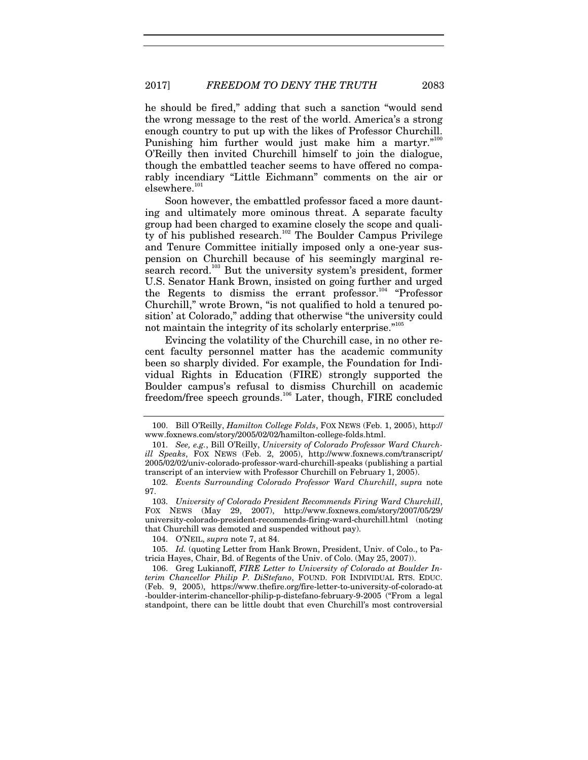he should be fired," adding that such a sanction "would send the wrong message to the rest of the world. America's a strong enough country to put up with the likes of Professor Churchill. Punishing him further would just make him a martyr."<sup>100</sup> O'Reilly then invited Churchill himself to join the dialogue, though the embattled teacher seems to have offered no comparably incendiary "Little Eichmann" comments on the air or elsewhere.<sup>101</sup>

Soon however, the embattled professor faced a more daunting and ultimately more ominous threat. A separate faculty group had been charged to examine closely the scope and quality of his published research.<sup>102</sup> The Boulder Campus Privilege and Tenure Committee initially imposed only a one-year suspension on Churchill because of his seemingly marginal research record.<sup>103</sup> But the university system's president, former U.S. Senator Hank Brown, insisted on going further and urged the Regents to dismiss the errant professor.<sup>104</sup> "Professor Churchill," wrote Brown, "is not qualified to hold a tenured position' at Colorado," adding that otherwise "the university could not maintain the integrity of its scholarly enterprise."105

Evincing the volatility of the Churchill case, in no other recent faculty personnel matter has the academic community been so sharply divided. For example, the Foundation for Individual Rights in Education (FIRE) strongly supported the Boulder campus's refusal to dismiss Churchill on academic freedom/free speech grounds.106 Later, though, FIRE concluded

104. O'NEIL, *supra* note 7, at 84.

105. *Id.* (quoting Letter from Hank Brown, President, Univ. of Colo., to Patricia Hayes, Chair, Bd. of Regents of the Univ. of Colo. (May 25, 2007)).

 106. Greg Lukianoff, *FIRE Letter to University of Colorado at Boulder Interim Chancellor Philip P. DiStefano*, FOUND. FOR INDIVIDUAL RTS. EDUC. (Feb. 9, 2005), https://www.thefire.org/fire-letter-to-university-of-colorado-at -boulder-interim-chancellor-philip-p-distefano-february-9-2005 ("From a legal standpoint, there can be little doubt that even Churchill's most controversial

 <sup>100.</sup> Bill O'Reilly, *Hamilton College Folds*, FOX NEWS (Feb. 1, 2005), http:// www.foxnews.com/story/2005/02/02/hamilton-college-folds.html.

<sup>101.</sup> *See, e.g.*, Bill O'Reilly, *University of Colorado Professor Ward Churchill Speaks*, FOX NEWS (Feb. 2, 2005), http://www.foxnews.com/transcript/ 2005/02/02/univ-colorado-professor-ward-churchill-speaks (publishing a partial transcript of an interview with Professor Churchill on February 1, 2005).

<sup>102.</sup> *Events Surrounding Colorado Professor Ward Churchill*, *supra* note 97.

<sup>103.</sup> *University of Colorado President Recommends Firing Ward Churchill*, FOX NEWS (May 29, 2007), http://www.foxnews.com/story/2007/05/29/ university-colorado-president-recommends-firing-ward-churchill.html (noting that Churchill was demoted and suspended without pay).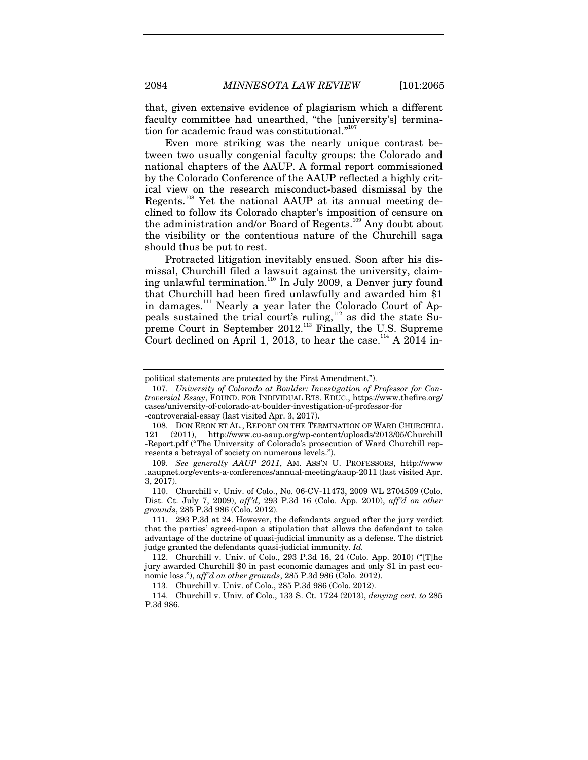that, given extensive evidence of plagiarism which a different faculty committee had unearthed, "the [university's] termination for academic fraud was constitutional."<sup>107</sup>

Even more striking was the nearly unique contrast between two usually congenial faculty groups: the Colorado and national chapters of the AAUP. A formal report commissioned by the Colorado Conference of the AAUP reflected a highly critical view on the research misconduct-based dismissal by the Regents.<sup>108</sup> Yet the national AAUP at its annual meeting declined to follow its Colorado chapter's imposition of censure on the administration and/or Board of Regents.<sup>109</sup> Any doubt about the visibility or the contentious nature of the Churchill saga should thus be put to rest.

Protracted litigation inevitably ensued. Soon after his dismissal, Churchill filed a lawsuit against the university, claiming unlawful termination.<sup>110</sup> In July 2009, a Denver jury found that Churchill had been fired unlawfully and awarded him \$1 in damages.<sup>111</sup> Nearly a year later the Colorado Court of Appeals sustained the trial court's ruling,112 as did the state Supreme Court in September 2012.<sup>113</sup> Finally, the U.S. Supreme Court declined on April 1, 2013, to hear the case.<sup>114</sup> A 2014 in-

political statements are protected by the First Amendment.").

<sup>107.</sup> *University of Colorado at Boulder: Investigation of Professor for Controversial Essay*, FOUND. FOR INDIVIDUAL RTS. EDUC., https://www.thefire.org/ cases/university-of-colorado-at-boulder-investigation-of-professor-for -controversial-essay (last visited Apr. 3, 2017).

 <sup>108.</sup> DON ERON ET AL., REPORT ON THE TERMINATION OF WARD CHURCHILL 121 (2011), http://www.cu-aaup.org/wp-content/uploads/2013/05/Churchill -Report.pdf ("The University of Colorado's prosecution of Ward Churchill represents a betrayal of society on numerous levels.").

<sup>109.</sup> *See generally AAUP 2011*, AM. ASS'N U. PROFESSORS, http://www .aaupnet.org/events-a-conferences/annual-meeting/aaup-2011 (last visited Apr. 3, 2017).

 <sup>110.</sup> Churchill v. Univ. of Colo., No. 06-CV-11473, 2009 WL 2704509 (Colo. Dist. Ct. July 7, 2009), *aff'd*, 293 P.3d 16 (Colo. App. 2010), *aff'd on other grounds*, 285 P.3d 986 (Colo. 2012).

<sup>111. 293</sup> P.3d at 24. However, the defendants argued after the jury verdict that the parties' agreed-upon a stipulation that allows the defendant to take advantage of the doctrine of quasi-judicial immunity as a defense. The district judge granted the defendants quasi-judicial immunity. *Id.* 

 <sup>112.</sup> Churchill v. Univ. of Colo., 293 P.3d 16, 24 (Colo. App. 2010) ("[T]he jury awarded Churchill \$0 in past economic damages and only \$1 in past economic loss."), *aff'd on other grounds*, 285 P.3d 986 (Colo. 2012).

 <sup>113.</sup> Churchill v. Univ. of Colo., 285 P.3d 986 (Colo. 2012).

 <sup>114.</sup> Churchill v. Univ. of Colo., 133 S. Ct. 1724 (2013), *denying cert. to* 285 P.3d 986.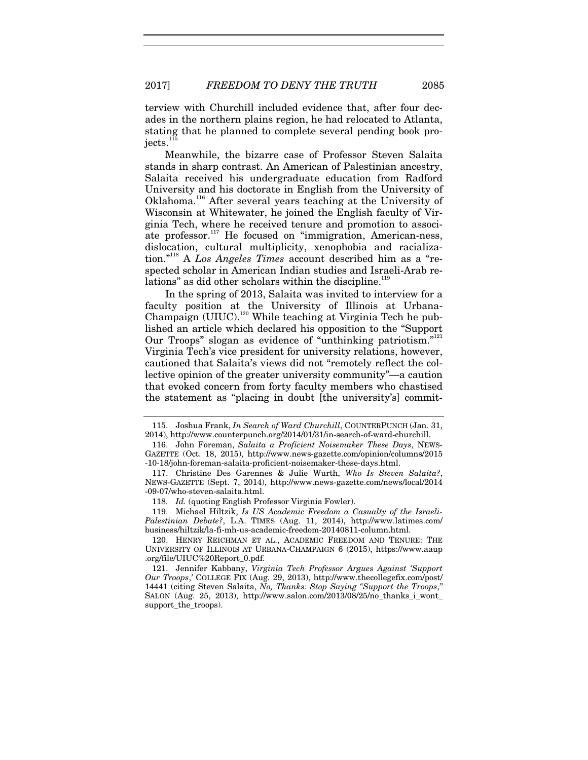terview with Churchill included evidence that, after four decades in the northern plains region, he had relocated to Atlanta, stating that he planned to complete several pending book projects.<sup>1</sup>

Meanwhile, the bizarre case of Professor Steven Salaita stands in sharp contrast. An American of Palestinian ancestry, Salaita received his undergraduate education from Radford University and his doctorate in English from the University of Oklahoma.116 After several years teaching at the University of Wisconsin at Whitewater, he joined the English faculty of Virginia Tech, where he received tenure and promotion to associate professor.<sup>117</sup> He focused on "immigration, American-ness, dislocation, cultural multiplicity, xenophobia and racialization."118 A *Los Angeles Times* account described him as a "respected scholar in American Indian studies and Israeli-Arab relations" as did other scholars within the discipline.<sup>119</sup>

In the spring of 2013, Salaita was invited to interview for a faculty position at the University of Illinois at Urbana-Champaign (UIUC).<sup>120</sup> While teaching at Virginia Tech he published an article which declared his opposition to the "Support Our Troops" slogan as evidence of "unthinking patriotism."<sup>121</sup> Virginia Tech's vice president for university relations, however, cautioned that Salaita's views did not "remotely reflect the collective opinion of the greater university community"—a caution that evoked concern from forty faculty members who chastised the statement as "placing in doubt [the university's] commit-

 119. Michael Hiltzik, *Is US Academic Freedom a Casualty of the Israeli-Palestinian Debate?*, L.A. TIMES (Aug. 11, 2014), http://www.latimes.com/ business/hiltzik/la-fi-mh-us-academic-freedom-20140811-column.html.

 120. HENRY REICHMAN ET AL., ACADEMIC FREEDOM AND TENURE: THE UNIVERSITY OF ILLINOIS AT URBANA-CHAMPAIGN 6 (2015), https://www.aaup .org/file/UIUC%20Report\_0.pdf.

 121. Jennifer Kabbany, *Virginia Tech Professor Argues Against 'Support Our Troops*,*'* COLLEGE FIX (Aug. 29, 2013), http://www.thecollegefix.com/post/ 14441 (citing Steven Salaita, *No, Thanks: Stop Saying "Support the Troops*,*"* SALON (Aug. 25, 2013), http://www.salon.com/2013/08/25/no\_thanks\_i\_wont\_ support\_the\_troops).

 <sup>115.</sup> Joshua Frank, *In Search of Ward Churchill*, COUNTERPUNCH (Jan. 31, 2014), http://www.counterpunch.org/2014/01/31/in-search-of-ward-churchill.

 <sup>116.</sup> John Foreman, *Salaita a Proficient Noisemaker These Days*, NEWS-GAZETTE (Oct. 18, 2015), http://www.news-gazette.com/opinion/columns/2015 -10-18/john-foreman-salaita-proficient-noisemaker-these-days.html.

 <sup>117.</sup> Christine Des Garennes & Julie Wurth, *Who Is Steven Salaita?*, NEWS-GAZETTE (Sept. 7, 2014), http://www.news-gazette.com/news/local/2014 -09-07/who-steven-salaita.html.

<sup>118.</sup> *Id.* (quoting English Professor Virginia Fowler).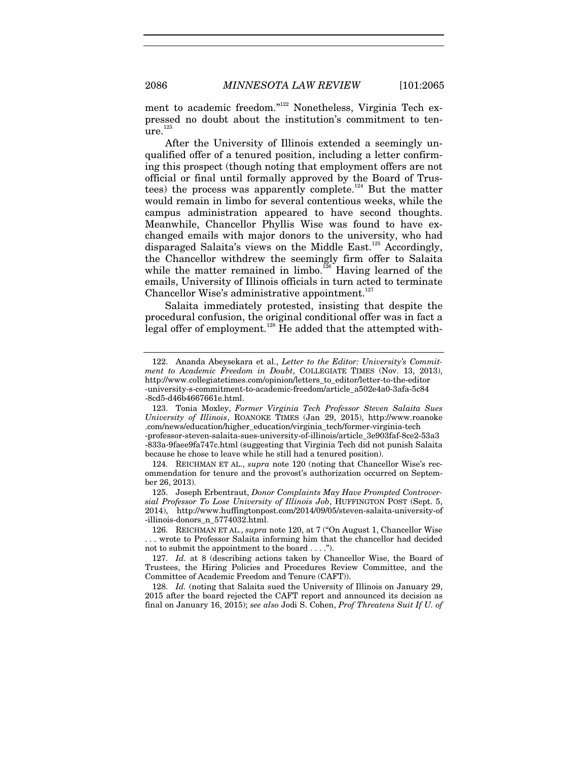ment to academic freedom."<sup>122</sup> Nonetheless, Virginia Tech expressed no doubt about the institution's commitment to ten- $\mathrm{^{\cdot}ure.}^{123}$ 

After the University of Illinois extended a seemingly unqualified offer of a tenured position, including a letter confirming this prospect (though noting that employment offers are not official or final until formally approved by the Board of Trustees) the process was apparently complete.<sup>124</sup> But the matter would remain in limbo for several contentious weeks, while the campus administration appeared to have second thoughts. Meanwhile, Chancellor Phyllis Wise was found to have exchanged emails with major donors to the university, who had disparaged Salaita's views on the Middle East.<sup>125</sup> Accordingly, the Chancellor withdrew the seemingly firm offer to Salaita while the matter remained in limbo.<sup>126</sup> Having learned of the emails, University of Illinois officials in turn acted to terminate Chancellor Wise's administrative appointment.<sup>127</sup>

Salaita immediately protested, insisting that despite the procedural confusion, the original conditional offer was in fact a legal offer of employment.<sup>128</sup> He added that the attempted with-

 <sup>122.</sup> Ananda Abeysekara et al., *Letter to the Editor: University's Commitment to Academic Freedom in Doubt*, COLLEGIATE TIMES (Nov. 13, 2013), http://www.collegiatetimes.com/opinion/letters\_to\_editor/letter-to-the-editor -university-s-commitment-to-academic-freedom/article\_a502e4a0-3afa-5c84 -8cd5-d46b4667661e.html.

 <sup>123.</sup> Tonia Moxley, *Former Virginia Tech Professor Steven Salaita Sues University of Illinois*, ROANOKE TIMES (Jan 29, 2015), http://www.roanoke .com/news/education/higher\_education/virginia\_tech/former-virginia-tech -professor-steven-salaita-sues-university-of-illinois/article\_3e903faf-8ce2-53a3 -833a-9faee9fa747c.html (suggesting that Virginia Tech did not punish Salaita because he chose to leave while he still had a tenured position).

 <sup>124.</sup> REICHMAN ET AL., *supra* note 120 (noting that Chancellor Wise's recommendation for tenure and the provost's authorization occurred on September 26, 2013).

 <sup>125.</sup> Joseph Erbentraut, *Donor Complaints May Have Prompted Controversial Professor To Lose University of Illinois Job*, HUFFINGTON POST (Sept. 5, 2014), http://www.huffingtonpost.com/2014/09/05/steven-salaita-university-of -illinois-donors\_n\_5774032.html.

 <sup>126.</sup> REICHMAN ET AL., *supra* note 120, at 7 ("On August 1, Chancellor Wise . . . wrote to Professor Salaita informing him that the chancellor had decided not to submit the appointment to the board . . . .").

<sup>127.</sup> *Id.* at 8 (describing actions taken by Chancellor Wise, the Board of Trustees, the Hiring Policies and Procedures Review Committee, and the Committee of Academic Freedom and Tenure (CAFT)).

<sup>128.</sup> *Id.* (noting that Salaita sued the University of Illinois on January 29, 2015 after the board rejected the CAFT report and announced its decision as final on January 16, 2015); *see also* Jodi S. Cohen, *Prof Threatens Suit If U. of*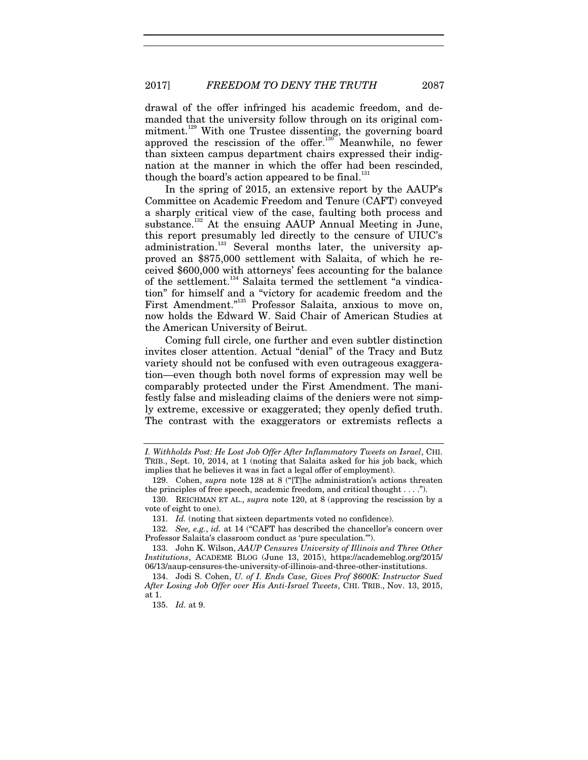drawal of the offer infringed his academic freedom, and demanded that the university follow through on its original commitment.<sup>129</sup> With one Trustee dissenting, the governing board approved the rescission of the offer.<sup>130</sup> Meanwhile, no fewer than sixteen campus department chairs expressed their indignation at the manner in which the offer had been rescinded, though the board's action appeared to be final.<sup>131</sup>

In the spring of 2015, an extensive report by the AAUP's Committee on Academic Freedom and Tenure (CAFT) conveyed a sharply critical view of the case, faulting both process and substance.<sup>132</sup> At the ensuing AAUP Annual Meeting in June, this report presumably led directly to the censure of UIUC's administration.<sup>133</sup> Several months later, the university approved an \$875,000 settlement with Salaita, of which he received \$600,000 with attorneys' fees accounting for the balance of the settlement.<sup>134</sup> Salaita termed the settlement "a vindication" for himself and a "victory for academic freedom and the First Amendment."135 Professor Salaita, anxious to move on, now holds the Edward W. Said Chair of American Studies at the American University of Beirut.

Coming full circle, one further and even subtler distinction invites closer attention. Actual "denial" of the Tracy and Butz variety should not be confused with even outrageous exaggeration—even though both novel forms of expression may well be comparably protected under the First Amendment. The manifestly false and misleading claims of the deniers were not simply extreme, excessive or exaggerated; they openly defied truth. The contrast with the exaggerators or extremists reflects a

*I. Withholds Post: He Lost Job Offer After Inflammatory Tweets on Israel*, CHI. TRIB., Sept. 10, 2014, at 1 (noting that Salaita asked for his job back, which implies that he believes it was in fact a legal offer of employment).

 <sup>129.</sup> Cohen, *supra* note 128 at 8 ("[T]he administration's actions threaten the principles of free speech, academic freedom, and critical thought . . . .").

 <sup>130.</sup> REICHMAN ET AL., *supra* note 120, at 8 (approving the rescission by a vote of eight to one).

<sup>131.</sup> *Id.* (noting that sixteen departments voted no confidence).

<sup>132.</sup> *See, e.g.*, *id.* at 14 ("CAFT has described the chancellor's concern over Professor Salaita's classroom conduct as 'pure speculation.'").

 <sup>133.</sup> John K. Wilson, *AAUP Censures University of Illinois and Three Other Institutions*, ACADEME BLOG (June 13, 2015), https://academeblog.org/2015/ 06/13/aaup-censures-the-university-of-illinois-and-three-other-institutions.

 <sup>134.</sup> Jodi S. Cohen, *U. of I. Ends Case, Gives Prof \$600K: Instructor Sued After Losing Job Offer over His Anti-Israel Tweets*, CHI. TRIB., Nov. 13, 2015, at 1.

<sup>135.</sup> *Id.* at 9.